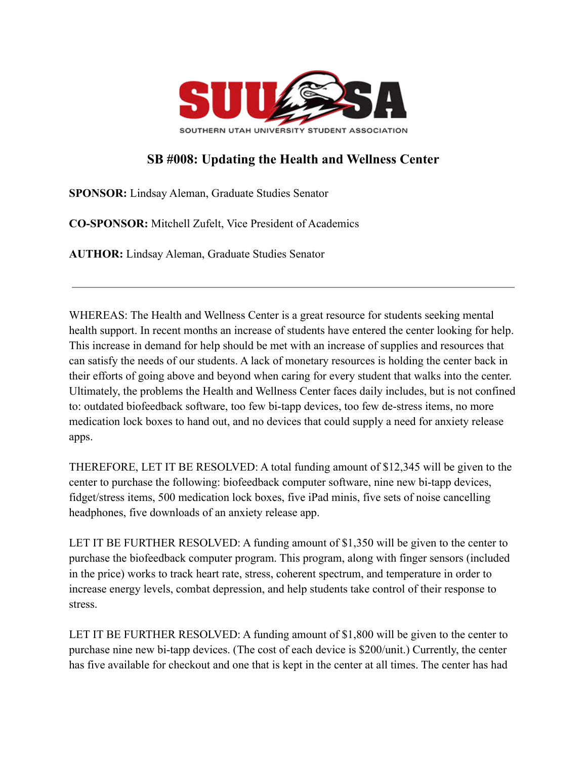

## **SB #008: Updating the Health and Wellness Center**

**SPONSOR:** Lindsay Aleman, Graduate Studies Senator

**CO-SPONSOR:** Mitchell Zufelt, Vice President of Academics

**AUTHOR:** Lindsay Aleman, Graduate Studies Senator

WHEREAS: The Health and Wellness Center is a great resource for students seeking mental health support. In recent months an increase of students have entered the center looking for help. This increase in demand for help should be met with an increase of supplies and resources that can satisfy the needs of our students. A lack of monetary resources is holding the center back in their efforts of going above and beyond when caring for every student that walks into the center. Ultimately, the problems the Health and Wellness Center faces daily includes, but is not confined to: outdated biofeedback software, too few bi-tapp devices, too few de-stress items, no more medication lock boxes to hand out, and no devices that could supply a need for anxiety release apps.

THEREFORE, LET IT BE RESOLVED: A total funding amount of \$12,345 will be given to the center to purchase the following: biofeedback computer software, nine new bi-tapp devices, fidget/stress items, 500 medication lock boxes, five iPad minis, five sets of noise cancelling headphones, five downloads of an anxiety release app.

LET IT BE FURTHER RESOLVED: A funding amount of \$1,350 will be given to the center to purchase the biofeedback computer program. This program, along with finger sensors (included in the price) works to track heart rate, stress, coherent spectrum, and temperature in order to increase energy levels, combat depression, and help students take control of their response to stress.

LET IT BE FURTHER RESOLVED: A funding amount of \$1,800 will be given to the center to purchase nine new bi-tapp devices. (The cost of each device is \$200/unit.) Currently, the center has five available for checkout and one that is kept in the center at all times. The center has had